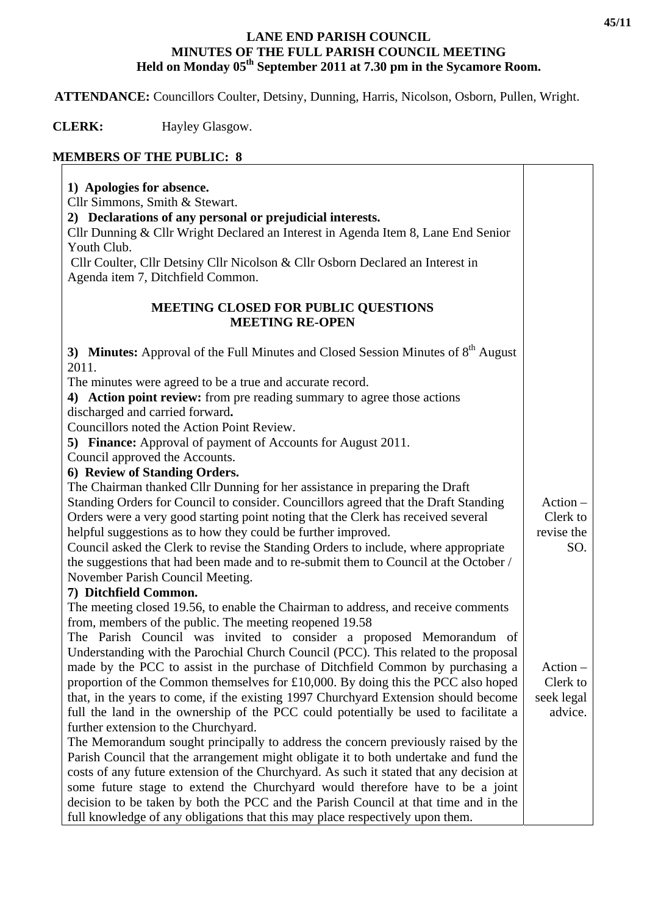## **LANE END PARISH COUNCIL MINUTES OF THE FULL PARISH COUNCIL MEETING**  Held on Monday 05<sup>th</sup> September 2011 at 7.30 pm in the Sycamore Room.

 **ATTENDANCE:** Councillors Coulter, Detsiny, Dunning, Harris, Nicolson, Osborn, Pullen, Wright.

 **CLERK:** Hayley Glasgow.

## **MEMBERS OF THE PUBLIC: 8**

| 1) Apologies for absence.<br>Cllr Simmons, Smith & Stewart.<br>2) Declarations of any personal or prejudicial interests.<br>Cllr Dunning & Cllr Wright Declared an Interest in Agenda Item 8, Lane End Senior<br>Youth Club.<br>Cllr Coulter, Cllr Detsiny Cllr Nicolson & Cllr Osborn Declared an Interest in<br>Agenda item 7, Ditchfield Common. |            |
|-----------------------------------------------------------------------------------------------------------------------------------------------------------------------------------------------------------------------------------------------------------------------------------------------------------------------------------------------------|------------|
| <b>MEETING CLOSED FOR PUBLIC QUESTIONS</b><br><b>MEETING RE-OPEN</b>                                                                                                                                                                                                                                                                                |            |
| 3) Minutes: Approval of the Full Minutes and Closed Session Minutes of $8th$ August<br>2011.                                                                                                                                                                                                                                                        |            |
| The minutes were agreed to be a true and accurate record.                                                                                                                                                                                                                                                                                           |            |
| 4) Action point review: from pre reading summary to agree those actions<br>discharged and carried forward.                                                                                                                                                                                                                                          |            |
| Councillors noted the Action Point Review.                                                                                                                                                                                                                                                                                                          |            |
| <b>5) Finance:</b> Approval of payment of Accounts for August 2011.                                                                                                                                                                                                                                                                                 |            |
| Council approved the Accounts.                                                                                                                                                                                                                                                                                                                      |            |
| 6) Review of Standing Orders.                                                                                                                                                                                                                                                                                                                       |            |
| The Chairman thanked Cllr Dunning for her assistance in preparing the Draft                                                                                                                                                                                                                                                                         |            |
| Standing Orders for Council to consider. Councillors agreed that the Draft Standing                                                                                                                                                                                                                                                                 | $Action -$ |
| Orders were a very good starting point noting that the Clerk has received several                                                                                                                                                                                                                                                                   | Clerk to   |
| helpful suggestions as to how they could be further improved.                                                                                                                                                                                                                                                                                       | revise the |
| Council asked the Clerk to revise the Standing Orders to include, where appropriate                                                                                                                                                                                                                                                                 | SO.        |
| the suggestions that had been made and to re-submit them to Council at the October /                                                                                                                                                                                                                                                                |            |
| November Parish Council Meeting.                                                                                                                                                                                                                                                                                                                    |            |
| 7) Ditchfield Common.                                                                                                                                                                                                                                                                                                                               |            |
| The meeting closed 19.56, to enable the Chairman to address, and receive comments                                                                                                                                                                                                                                                                   |            |
| from, members of the public. The meeting reopened 19.58                                                                                                                                                                                                                                                                                             |            |
| The Parish Council was invited to consider a proposed Memorandum of                                                                                                                                                                                                                                                                                 |            |
| Understanding with the Parochial Church Council (PCC). This related to the proposal                                                                                                                                                                                                                                                                 |            |
| made by the PCC to assist in the purchase of Ditchfield Common by purchasing a                                                                                                                                                                                                                                                                      | $Action -$ |
| proportion of the Common themselves for £10,000. By doing this the PCC also hoped                                                                                                                                                                                                                                                                   | Clerk to   |
| that, in the years to come, if the existing 1997 Churchyard Extension should become                                                                                                                                                                                                                                                                 | seek legal |
| full the land in the ownership of the PCC could potentially be used to facilitate a                                                                                                                                                                                                                                                                 | advice.    |
| further extension to the Churchyard.                                                                                                                                                                                                                                                                                                                |            |
| The Memorandum sought principally to address the concern previously raised by the                                                                                                                                                                                                                                                                   |            |
| Parish Council that the arrangement might obligate it to both undertake and fund the                                                                                                                                                                                                                                                                |            |
| costs of any future extension of the Churchyard. As such it stated that any decision at                                                                                                                                                                                                                                                             |            |
| some future stage to extend the Churchyard would therefore have to be a joint                                                                                                                                                                                                                                                                       |            |
| decision to be taken by both the PCC and the Parish Council at that time and in the                                                                                                                                                                                                                                                                 |            |
| full knowledge of any obligations that this may place respectively upon them.                                                                                                                                                                                                                                                                       |            |

 $\overline{\mathsf{T}}$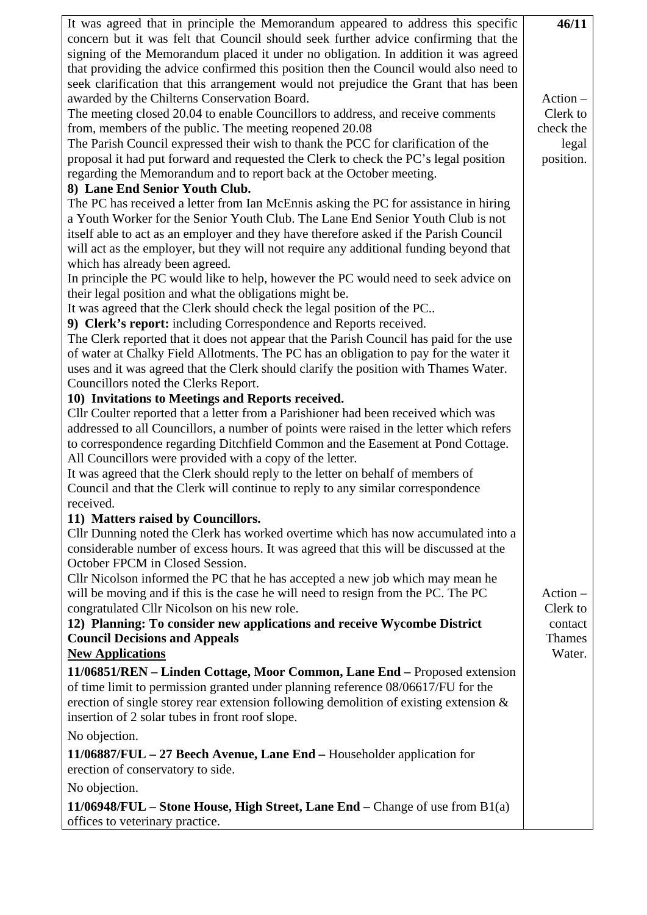| It was agreed that in principle the Memorandum appeared to address this specific          | 46/11                 |  |  |  |
|-------------------------------------------------------------------------------------------|-----------------------|--|--|--|
| concern but it was felt that Council should seek further advice confirming that the       |                       |  |  |  |
| signing of the Memorandum placed it under no obligation. In addition it was agreed        |                       |  |  |  |
| that providing the advice confirmed this position then the Council would also need to     |                       |  |  |  |
| seek clarification that this arrangement would not prejudice the Grant that has been      |                       |  |  |  |
| awarded by the Chilterns Conservation Board.                                              | $Action -$            |  |  |  |
| The meeting closed 20.04 to enable Councillors to address, and receive comments           | Clerk to<br>check the |  |  |  |
| from, members of the public. The meeting reopened 20.08                                   |                       |  |  |  |
| The Parish Council expressed their wish to thank the PCC for clarification of the         |                       |  |  |  |
| proposal it had put forward and requested the Clerk to check the PC's legal position      |                       |  |  |  |
| regarding the Memorandum and to report back at the October meeting.                       |                       |  |  |  |
| 8) Lane End Senior Youth Club.                                                            |                       |  |  |  |
| The PC has received a letter from Ian McEnnis asking the PC for assistance in hiring      |                       |  |  |  |
| a Youth Worker for the Senior Youth Club. The Lane End Senior Youth Club is not           |                       |  |  |  |
| itself able to act as an employer and they have therefore asked if the Parish Council     |                       |  |  |  |
| will act as the employer, but they will not require any additional funding beyond that    |                       |  |  |  |
| which has already been agreed.                                                            |                       |  |  |  |
| In principle the PC would like to help, however the PC would need to seek advice on       |                       |  |  |  |
| their legal position and what the obligations might be.                                   |                       |  |  |  |
| It was agreed that the Clerk should check the legal position of the PC                    |                       |  |  |  |
| 9) Clerk's report: including Correspondence and Reports received.                         |                       |  |  |  |
| The Clerk reported that it does not appear that the Parish Council has paid for the use   |                       |  |  |  |
| of water at Chalky Field Allotments. The PC has an obligation to pay for the water it     |                       |  |  |  |
| uses and it was agreed that the Clerk should clarify the position with Thames Water.      |                       |  |  |  |
| Councillors noted the Clerks Report.<br>10) Invitations to Meetings and Reports received. |                       |  |  |  |
| Cllr Coulter reported that a letter from a Parishioner had been received which was        |                       |  |  |  |
| addressed to all Councillors, a number of points were raised in the letter which refers   |                       |  |  |  |
| to correspondence regarding Ditchfield Common and the Easement at Pond Cottage.           |                       |  |  |  |
| All Councillors were provided with a copy of the letter.                                  |                       |  |  |  |
| It was agreed that the Clerk should reply to the letter on behalf of members of           |                       |  |  |  |
| Council and that the Clerk will continue to reply to any similar correspondence           |                       |  |  |  |
| received.                                                                                 |                       |  |  |  |
| 11) Matters raised by Councillors.                                                        |                       |  |  |  |
| Cllr Dunning noted the Clerk has worked overtime which has now accumulated into a         |                       |  |  |  |
| considerable number of excess hours. It was agreed that this will be discussed at the     |                       |  |  |  |
| October FPCM in Closed Session.                                                           |                       |  |  |  |
| Cllr Nicolson informed the PC that he has accepted a new job which may mean he            |                       |  |  |  |
| will be moving and if this is the case he will need to resign from the PC. The PC         | $Action -$            |  |  |  |
| congratulated Cllr Nicolson on his new role.                                              | Clerk to              |  |  |  |
| 12) Planning: To consider new applications and receive Wycombe District                   | contact               |  |  |  |
| <b>Council Decisions and Appeals</b>                                                      | <b>Thames</b>         |  |  |  |
| <b>New Applications</b>                                                                   | Water.                |  |  |  |
| 11/06851/REN – Linden Cottage, Moor Common, Lane End – Proposed extension                 |                       |  |  |  |
| of time limit to permission granted under planning reference 08/06617/FU for the          |                       |  |  |  |
| erection of single storey rear extension following demolition of existing extension $\&$  |                       |  |  |  |
| insertion of 2 solar tubes in front roof slope.                                           |                       |  |  |  |
| No objection.                                                                             |                       |  |  |  |
|                                                                                           |                       |  |  |  |
| $11/06887/FUL - 27$ Beech Avenue, Lane End – Householder application for                  |                       |  |  |  |
| erection of conservatory to side.                                                         |                       |  |  |  |
| No objection.                                                                             |                       |  |  |  |
| 11/06948/FUL – Stone House, High Street, Lane End – Change of use from $B1(a)$            |                       |  |  |  |
| offices to veterinary practice.                                                           |                       |  |  |  |